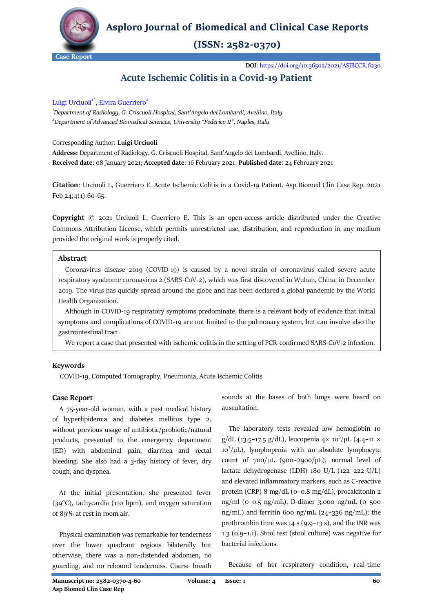

**Asploro Journal of Biomedical and Clinical Case Reports** 

 $(ISSN: 2582-0370)$ 

**DOI**[: https://doi.org/10.36502/2021/ASJBCCR.6230](https://doi.org/10.36502/2021/ASJBCCR.6230)

# **Acute Ischemic Colitis in a Covid-19 Patient**

# Luigi Urciuoli<sup>1\*</sup>, Elvira Guerriero<sup>2</sup>

*1 Department of Radiology, G. Criscuoli Hospital, Sant'Angelo dei Lombardi, Avellino, Italy 2 Department of Advanced Biomedical Sciences, [University "Federico II"](http://www.international.unina.it/), Naples, Italy*

# Corresponding Author: **Luigi Urciuoli**

**Address:** Department of Radiology, G. Criscuoli Hospital, Sant'Angelo dei Lombardi, Avellino, Italy. **Received date**: 08 January 2021; **Accepted date**: 16 February 2021; **Published date**: 24 February 2021

**Citation**: Urciuoli L, Guerriero E. Acute Ischemic Colitis in a Covid-19 Patient. Asp Biomed Clin Case Rep. 2021 Feb 24;4(1):60-65.

**Copyright** © 2021 Urciuoli L, Guerriero E. This is an open-access article distributed under the Creative Commons Attribution License, which permits unrestricted use, distribution, and reproduction in any medium provided the original work is properly cited.

# **Abstract**

 Coronavirus disease 2019 (COVID-19) is caused by a novel strain of coronavirus called severe acute respiratory syndrome coronavirus 2 (SARS-CoV-2), which was first discovered in Wuhan, China, in December 2019. The virus has quickly spread around the globe and has been declared a global pandemic by the World Health Organization.

 Although in COVID-19 respiratory symptoms predominate, there is a relevant body of evidence that initial symptoms and complications of COVID-19 are not limited to the pulmonary system, but can involve also the gastrointestinal tract.

We report a case that presented with ischemic colitis in the setting of PCR-confirmed SARS-CoV-2 infection.

# **Keywords**

COVID-19, Computed Tomography, Pneumonia, Acute Ischemic Colitis

# **Case Report**

 A 75-year-old woman, with a past medical history of hyperlipidemia and diabetes mellitus type 2, without previous usage of antibiotic/probiotic/natural products, presented to the emergency department (ED) with abdominal pain, diarrhea and rectal bleeding. She also had a 3-day history of fever, dry cough, and dyspnea.

 At the initial presentation, she presented fever (39°C), tachycardia (110 bpm), and oxygen saturation of 89% at rest in room air.

 Physical examination was remarkable for tenderness over the lower quadrant regions bilaterally but otherwise, there was a non-distended abdomen, no guarding, and no rebound tenderness. Coarse breath sounds at the bases of both lungs were heard on auscultation.

 The laboratory tests revealed low hemoglobin 10 g/dL (13.5-17.5 g/dL), leucopenia  $4 \times 10^3 / \mu$ L (4.4-11  $\times$  $10^3/\mu$ L), lymphopenia with an absolute lymphocyte count of  $700/\mu$ L (900–2900/ $\mu$ L), normal level of lactate dehydrogenase (LDH) 180 U/L (122–222 U/L) and elevated inflammatory markers, such as C-reactive protein (CRP) 8 mg/dL (0–0.8 mg/dL), procalcitonin 2 ng/ml (0–0.5 ng/mL), D-dimer 3.000 ng/mL (0–500 ng/mL) and ferritin 600 ng/mL (24–336 ng/mL); the prothrombin time was 14 s (9.9–13 s), and the INR was 1.3 (0.9–1.1). Stool test (stool culture) was negative for bacterial infections.

Because of her respiratory condition, real-time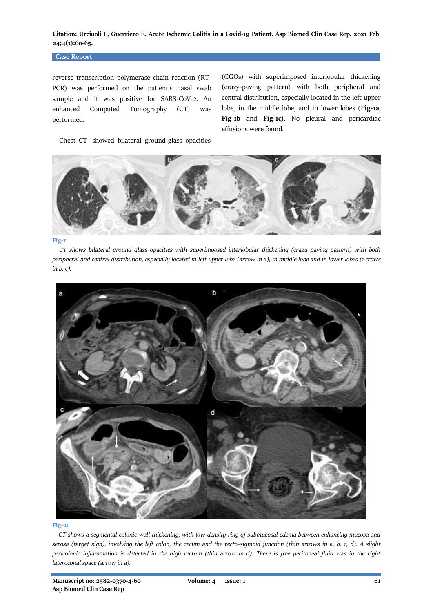### **Case Report**

reverse transcription polymerase chain reaction (RT-PCR) was performed on the patient's nasal swab sample and it was positive for SARS-CoV-2. An enhanced Computed Tomography (CT) was performed.

(GGOs) with superimposed interlobular thickening (crazy-paving pattern) with both peripheral and central distribution, especially located in the left upper lobe, in the middle lobe, and in lower lobes (**Fig-1a**, **Fig-1b** and **Fig-1c**). No pleural and pericardiac effusions were found.

Chest CT showed bilateral ground-glass opacities



#### **Fig-1:**

 *CT shows bilateral ground glass opacities with superimposed interlobular thickening (crazy paving pattern) with both peripheral and central distribution, especially located in left upper lobe (arrow in a), in middle lobe and in lower lobes (arrows in b, c).*



#### **Fig-2:**

 *CT shows a segmental colonic wall thickening, with low-density ring of submucosal edema between enhancing mucosa and serosa (target sign), involving the left colon, the cecum and the recto-sigmoid junction (thin arrows in a, b, c, d). A slight pericolonic inflammation is detected in the high rectum (thin arrow in d). There is free peritoneal fluid was in the right lateroconal space (arrow in a).*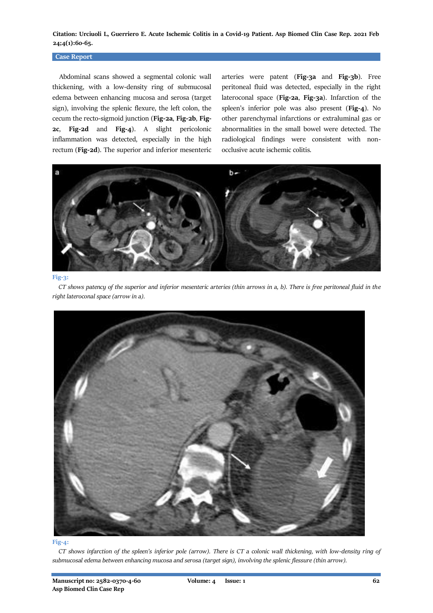### **Case Report**

 Abdominal scans showed a segmental colonic wall thickening, with a low-density ring of submucosal edema between enhancing mucosa and serosa (target sign), involving the splenic flexure, the left colon, the cecum the recto-sigmoid junction (**Fig-2a**, **Fig-2b**, **Fig-2c**, **Fig-2d** and **Fig-4**). A slight pericolonic inflammation was detected, especially in the high rectum (**Fig-2d**). The superior and inferior mesenteric

arteries were patent (**Fig-3a** and **Fig-3b**). Free peritoneal fluid was detected, especially in the right lateroconal space (**Fig-2a**, **Fig-3a**). Infarction of the spleen's inferior pole was also present (**Fig-4**). No other parenchymal infarctions or extraluminal gas or abnormalities in the small bowel were detected. The radiological findings were consistent with nonocclusive acute ischemic colitis.



#### **Fig-3:**

 *CT shows patency of the superior and inferior mesenteric arteries (thin arrows in a, b). There is free peritoneal fluid in the right lateroconal space (arrow in a).*



#### **Fig-4:**

 *CT shows infarction of the spleen's inferior pole (arrow). There is CT a colonic wall thickening, with low-density ring of submucosal edema between enhancing mucosa and serosa (target sign), involving the splenic flessure (thin arrow).*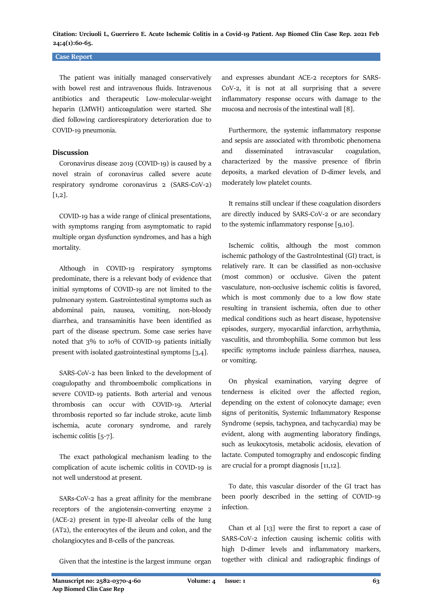### **Case Report**

 The patient was initially managed conservatively with bowel rest and intravenous fluids. Intravenous antibiotics and therapeutic Low-molecular-weight heparin (LMWH) anticoagulation were started. She died following cardiorespiratory deterioration due to COVID-19 pneumonia.

### **Discussion**

 Coronavirus disease 2019 (COVID-19) is caused by a novel strain of coronavirus called severe acute respiratory syndrome coronavirus 2 (SARS-CoV-2) [1,2].

 COVID-19 has a wide range of clinical presentations, with symptoms ranging from asymptomatic to rapid multiple organ dysfunction syndromes, and has a high mortality.

 Although in COVID-19 respiratory symptoms predominate, there is a relevant body of evidence that initial symptoms of COVID-19 are not limited to the pulmonary system. Gastrointestinal symptoms such as abdominal pain, nausea, vomiting, non-bloody diarrhea, and transaminitis have been identified as part of the disease spectrum. Some case series have noted that 3% to 10% of COVID-19 patients initially present with isolated gastrointestinal symptoms [3,4].

 SARS-CoV-2 has been linked to the development of coagulopathy and thromboembolic complications in severe COVID-19 patients. Both arterial and venous thrombosis can occur with COVID-19. Arterial thrombosis reported so far include stroke, acute limb ischemia, acute coronary syndrome, and rarely ischemic colitis [5-7].

 The exact pathological mechanism leading to the complication of acute ischemic colitis in COVID-19 is not well understood at present.

 SARs-CoV-2 has a great affinity for the membrane receptors of the angiotensin-converting enzyme 2 (ACE-2) present in type-II alveolar cells of the lung (AT2), the enterocytes of the ileum and colon, and the cholangiocytes and B-cells of the pancreas.

Given that the intestine is the largest immune organ

and expresses abundant ACE-2 receptors for SARS-CoV-2, it is not at all surprising that a severe inflammatory response occurs with damage to the mucosa and necrosis of the intestinal wall [8].

 Furthermore, the systemic inflammatory response and sepsis are associated with thrombotic phenomena and disseminated intravascular coagulation, characterized by the massive presence of fibrin deposits, a marked elevation of D-dimer levels, and moderately low platelet counts.

 It remains still unclear if these coagulation disorders are directly induced by SARS-CoV-2 or are secondary to the systemic inflammatory response [9,10].

 Ischemic colitis, although the most common ischemic pathology of the GastroIntestinal (GI) tract, is relatively rare. It can be classified as non-occlusive (most common) or occlusive. Given the patent vasculature, non-occlusive ischemic colitis is favored, which is most commonly due to a low flow state resulting in transient ischemia, often due to other medical conditions such as heart disease, hypotensive episodes, surgery, myocardial infarction, arrhythmia, vasculitis, and thrombophilia. Some common but less specific symptoms include painless diarrhea, nausea, or vomiting.

 On physical examination, varying degree of tenderness is elicited over the affected region, depending on the extent of colonocyte damage; even signs of peritonitis, Systemic Inflammatory Response Syndrome (sepsis, tachypnea, and tachycardia) may be evident, along with augmenting laboratory findings, such as leukocytosis, metabolic acidosis, elevation of lactate. Computed tomography and endoscopic finding are crucial for a prompt diagnosis [11,12].

 To date, this vascular disorder of the GI tract has been poorly described in the setting of COVID-19 infection.

 Chan et al [13] were the first to report a case of SARS-CoV-2 infection causing ischemic colitis with high D-dimer levels and inflammatory markers, together with clinical and radiographic findings of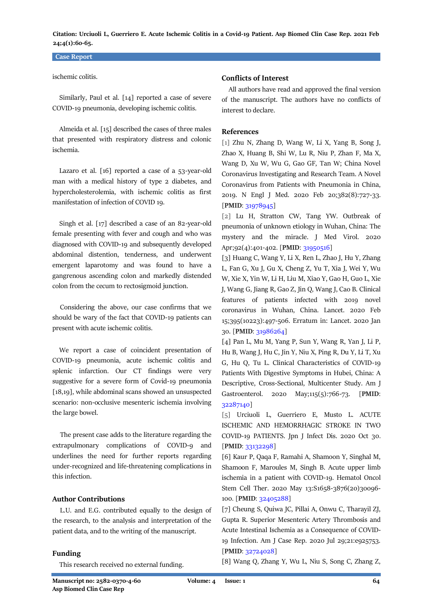### **Case Report**

### ischemic colitis.

 Similarly, Paul et al. [14] reported a case of severe COVID-19 pneumonia, developing ischemic colitis.

 Almeida et al. [15] described the cases of three males that presented with respiratory distress and colonic ischemia.

 Lazaro et al. [16] reported a case of a 53-year-old man with a medical history of type 2 diabetes, and hypercholesterolemia, with ischemic colitis as first manifestation of infection of COVID 19.

 Singh et al. [17] described a case of an 82-year-old female presenting with fever and cough and who was diagnosed with COVID-19 and subsequently developed abdominal distention, tenderness, and underwent emergent laparotomy and was found to have a gangrenous ascending colon and markedly distended colon from the cecum to rectosigmoid junction.

 Considering the above, our case confirms that we should be wary of the fact that COVID-19 patients can present with acute ischemic colitis.

 We report a case of coincident presentation of COVID-19 pneumonia, acute ischemic colitis and splenic infarction. Our CT findings were very suggestive for a severe form of Covid-19 pneumonia [18,19], while abdominal scans showed an unsuspected scenario: non-occlusive mesenteric ischemia involving the large bowel.

 The present case adds to the literature regarding the extrapulmonary complications of COVID-9 and underlines the need for further reports regarding under-recognized and life-threatening complications in this infection.

# **Author Contributions**

 L.U. and E.G. contributed equally to the design of the research, to the analysis and interpretation of the patient data, and to the writing of the manuscript.

### **Funding**

This research received no external funding.

### **Conflicts of Interest**

 All authors have read and approved the final version of the manuscript. The authors have no conflicts of interest to declare.

# **References**

[1] Zhu N, Zhang D, Wang W, Li X, Yang B, Song J, Zhao X, Huang B, Shi W, Lu R, Niu P, Zhan F, Ma X, Wang D, Xu W, Wu G, Gao GF, Tan W; China Novel Coronavirus Investigating and Research Team. A Novel Coronavirus from Patients with Pneumonia in China, 2019. N Engl J Med. 2020 Feb 20;382(8):727-33. [**PMID**[: 31978945\]](https://pubmed.ncbi.nlm.nih.gov/31978945/)

[2] Lu H, Stratton CW, Tang YW. Outbreak of pneumonia of unknown etiology in Wuhan, China: The mystery and the miracle. J Med Virol. 2020 Apr;92(4):401-402. [PMID[: 31950516\]](https://pubmed.ncbi.nlm.nih.gov/31950516/)

[3] Huang C, Wang Y, Li X, Ren L, Zhao J, Hu Y, Zhang L, Fan G, Xu J, Gu X, Cheng Z, Yu T, Xia J, Wei Y, Wu W, Xie X, Yin W, Li H, Liu M, Xiao Y, Gao H, Guo L, Xie J, Wang G, Jiang R, Gao Z, Jin Q, Wang J, Cao B. Clinical features of patients infected with 2019 novel coronavirus in Wuhan, China. Lancet. 2020 Feb 15;395(10223):497-506. Erratum in: Lancet. 2020 Jan 30. [**PMID**: [31986264\]](https://pubmed.ncbi.nlm.nih.gov/31986264/)

[4] Pan L, Mu M, Yang P, Sun Y, Wang R, Yan J, Li P, Hu B, Wang J, Hu C, Jin Y, Niu X, Ping R, Du Y, Li T, Xu G, Hu Q, Tu L. Clinical Characteristics of COVID-19 Patients With Digestive Symptoms in Hubei, China: A Descriptive, Cross-Sectional, Multicenter Study. Am J Gastroenterol. 2020 May;115(5):766-73. [**PMID**: [32287140\]](https://pubmed.ncbi.nlm.nih.gov/32287140/)

[5] Urciuoli L, Guerriero E, Musto L. ACUTE ISCHEMIC AND HEMORRHAGIC STROKE IN TWO COVID-19 PATIENTS. Jpn J Infect Dis. 2020 Oct 30. [**PMID**[: 33132298\]](https://pubmed.ncbi.nlm.nih.gov/33132298/)

[6] Kaur P, Qaqa F, Ramahi A, Shamoon Y, Singhal M, Shamoon F, Maroules M, Singh B. Acute upper limb ischemia in a patient with COVID-19. Hematol Oncol Stem Cell Ther. 2020 May 13:S1658-3876(20)30096- 100. [**PMID**[: 32405288\]](https://pubmed.ncbi.nlm.nih.gov/32405288/)

[7] Cheung S, Quiwa JC, Pillai A, Onwu C, Tharayil ZJ, Gupta R. Superior Mesenteric Artery Thrombosis and Acute Intestinal Ischemia as a Consequence of COVID-19 Infection. Am J Case Rep. 2020 Jul 29;21:e925753. [**PMID**[: 32724028\]](https://pubmed.ncbi.nlm.nih.gov/32724028/)

[8] Wang Q, Zhang Y, Wu L, Niu S, Song C, Zhang Z,